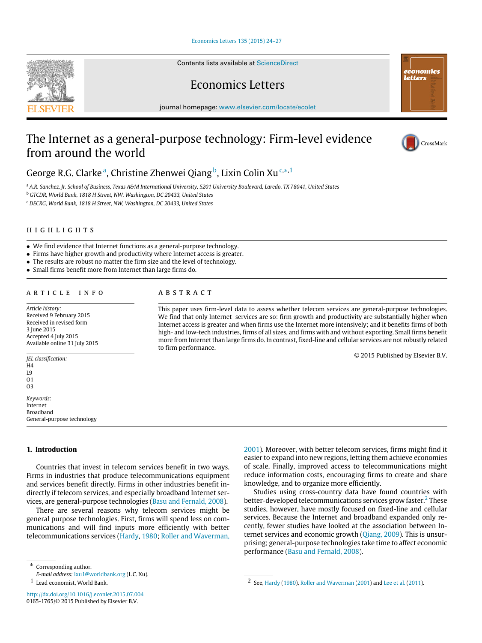[Economics Letters 135 \(2015\) 24–27](http://dx.doi.org/10.1016/j.econlet.2015.07.004)

Contents lists available at [ScienceDirect](http://www.elsevier.com/locate/ecolet)

Economics Letters

journal homepage: [www.elsevier.com/locate/ecolet](http://www.elsevier.com/locate/ecolet)

## The Internet as a general-purpose technology: Firm-level evidence from around the world

George R.G. Cl[a](#page-0-0)rkeª, Christine Zhenwei Qiang<sup>[b](#page-0-1)</sup>, Lixin Colin Xu <sup>[c,](#page-0-2)[∗](#page-0-3)[,1](#page-0-4)</sup>

<span id="page-0-0"></span><sup>a</sup> *A.R. Sanchez, Jr. School of Business, Texas A&M International University, 5201 University Boulevard, Laredo, TX 78041, United States*

A B S T R A C T

to firm performance.

<span id="page-0-1"></span><sup>b</sup> *GTCDR, World Bank, 1818 H Street, NW, Washington, DC 20433, United States*

<span id="page-0-2"></span><sup>c</sup> *DECRG, World Bank, 1818 H Street, NW, Washington, DC 20433, United States*

### h i g h l i g h t s

- We find evidence that Internet functions as a general-purpose technology.
- Firms have higher growth and productivity where Internet access is greater.
- The results are robust no matter the firm size and the level of technology.
- Small firms benefit more from Internet than large firms do.

#### ARTICLE INFO

*Article history:* Received 9 February 2015 Received in revised form 3 June 2015 Accepted 4 July 2015 Available online 31 July 2015

*JEL classification:*

#### H4 L9

O1 O3 *Keywords:* Internet Broadband General-purpose technology

#### **1. Introduction**

Countries that invest in telecom services benefit in two ways. Firms in industries that produce telecommunications equipment and services benefit directly. Firms in other industries benefit indirectly if telecom services, and especially broadband Internet services, are general-purpose technologies [\(Basu](#page--1-0) [and](#page--1-0) [Fernald,](#page--1-0) [2008\)](#page--1-0).

There are several reasons why telecom services might be general purpose technologies. First, firms will spend less on communications and will find inputs more efficiently with better telecommunications services [\(Hardy,](#page--1-1) [1980;](#page--1-1) [Roller](#page--1-2) [and](#page--1-2) [Waverman,](#page--1-2)

<span id="page-0-3"></span>Corresponding author.

This paper uses firm-level data to assess whether telecom services are general-purpose technologies. We find that only Internet services are so: firm growth and productivity are substantially higher when Internet access is greater and when firms use the Internet more intensively; and it benefits firms of both high- and low-tech industries, firms of all sizes, and firms with and without exporting. Small firms benefit more from Internet than large firms do. In contrast, fixed-line and cellular services are not robustly related

> [2001\)](#page--1-2). Moreover, with better telecom services, firms might find it easier to expand into new regions, letting them achieve economies of scale. Finally, improved access to telecommunications might reduce information costs, encouraging firms to create and share knowledge, and to organize more efficiently.

> Studies using cross-country data have found countries with better-developed telecommunications services grow faster.<sup>[2](#page-0-5)</sup> These studies, however, have mostly focused on fixed-line and cellular services. Because the Internet and broadband expanded only recently, fewer studies have looked at the association between In-ternet services and economic growth [\(Qiang,](#page--1-3) [2009\)](#page--1-3). This is unsurprising; general-purpose technologies take time to affect economic performance [\(Basu](#page--1-0) [and](#page--1-0) [Fernald,](#page--1-0) [2008\)](#page--1-0).





© 2015 Published by Elsevier B.V.



*E-mail address:* [lxu1@worldbank.org](mailto:lxu1@worldbank.org) (L.C. Xu).

<span id="page-0-4"></span><sup>1</sup> Lead economist, World Bank.

<span id="page-0-5"></span><sup>2</sup> See, [Hardy](#page--1-1) [\(1980\)](#page--1-1), [Roller](#page--1-2) [and](#page--1-2) [Waverman](#page--1-2) [\(2001\)](#page--1-2) and [Lee](#page--1-4) [et al.](#page--1-4) [\(2011\)](#page--1-4).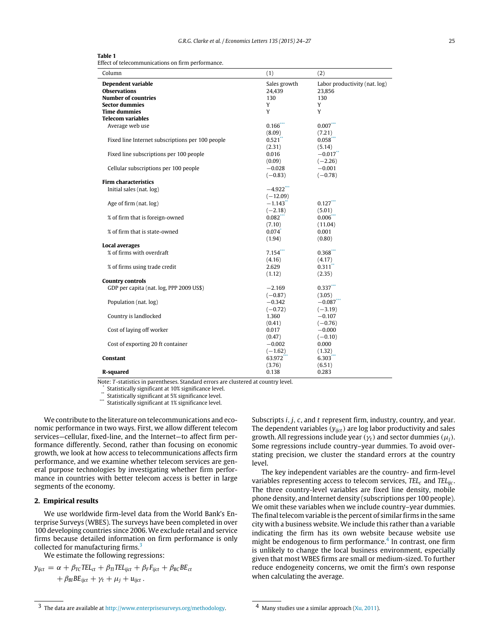| $\sim$<br>. .<br>×<br>. . |
|---------------------------|
|---------------------------|

Effect of telecommunications on firm performance.

| Column                                           | (1)          | (2)                           |
|--------------------------------------------------|--------------|-------------------------------|
| Dependent variable                               | Sales growth | Labor productivity (nat. log) |
| <b>Observations</b>                              | 24,439       | 23,856                        |
| <b>Number of countries</b>                       | 130          | 130                           |
| <b>Sector dummies</b>                            | Y            | Y                             |
| <b>Time dummies</b>                              | Y            | Y                             |
| <b>Telecom variables</b>                         |              |                               |
| Average web use                                  | 0.166        | $0.007$ ***                   |
|                                                  | (8.09)       | (7.21)                        |
| Fixed line Internet subscriptions per 100 people | 0.521        | 0.058                         |
|                                                  | (2.31)       | (5.14)                        |
| Fixed line subscriptions per 100 people          | 0.016        | $-0.017$                      |
|                                                  | (0.09)       | $(-2.26)$                     |
| Cellular subscriptions per 100 people            | $-0.028$     | $-0.001$                      |
|                                                  | $(-0.83)$    | $(-0.78)$                     |
| <b>Firm characteristics</b>                      |              |                               |
| Initial sales (nat. log)                         | $-4.922$ *** |                               |
|                                                  | $(-12.09)$   |                               |
| Age of firm (nat. log)                           | $-1.143$     | 0.127                         |
|                                                  | $(-2.18)$    | (5.01)                        |
| % of firm that is foreign-owned                  | 0.082        | 0.006                         |
|                                                  | (7.10)       | (11.04)                       |
| % of firm that is state-owned                    | 0.074        | 0.001                         |
|                                                  | (1.94)       | (0.80)                        |
| <b>Local averages</b>                            |              |                               |
| % of firms with overdraft                        | 7.154        | 0.368                         |
|                                                  | (4.16)       | (4.17)                        |
| % of firms using trade credit                    | 2.629        | 0.311                         |
|                                                  | (1.12)       | (2.35)                        |
| <b>Country controls</b>                          |              |                               |
| GDP per capita (nat. log, PPP 2009 US\$)         | $-2.169$     | $0.337***$                    |
|                                                  | $(-0.87)$    | (3.05)                        |
| Population (nat. log)                            | $-0.342$     | $-0.087$ ***                  |
|                                                  | $(-0.72)$    | $(-3.19)$                     |
| Country is landlocked                            | 1.360        | $-0.107$                      |
|                                                  | (0.41)       | $(-0.76)$                     |
| Cost of laying off worker                        | 0.017        | $-0.000$                      |
|                                                  | (0.47)       | $(-0.10)$                     |
| Cost of exporting 20 ft container                | $-0.002$     | 0.000                         |
|                                                  | $(-1.62)$    | (1.32)                        |
| Constant                                         | 63.972       | 6.303                         |
|                                                  | (3.76)       | (6.51)                        |
| R-squared                                        | 0.138        | 0.283                         |

Note: *T* -statistics in parentheses. Standard errors are clustered at country level.

<span id="page-1-2"></span>\* Statistically significant at 10% significance level.

<span id="page-1-1"></span>\*\* Statistically significant at 5% significance level.

<span id="page-1-0"></span>Statistically significant at 1% significance level.

We contribute to the literature on telecommunications and economic performance in two ways. First, we allow different telecom services—cellular, fixed-line, and the Internet—to affect firm performance differently. Second, rather than focusing on economic growth, we look at how access to telecommunications affects firm performance, and we examine whether telecom services are general purpose technologies by investigating whether firm performance in countries with better telecom access is better in large segments of the economy.

#### **2. Empirical results**

We use worldwide firm-level data from the World Bank's Enterprise Surveys (WBES). The surveys have been completed in over 100 developing countries since 2006. We exclude retail and service firms because detailed information on firm performance is only collected for manufacturing firms.<sup>[3](#page-1-3)</sup>

We estimate the following regressions:

$$
y_{ijct} = \alpha + \beta_{TC} TEL_{ct} + \beta_{TI} TEL_{ijct} + \beta_F F_{ijct} + \beta_{BC} BE_{ct} + \beta_{BI} BE_{ijct} + \gamma_t + \mu_j + u_{ijct}.
$$

Subscripts *i*, *j*, *c*, and *t* represent firm, industry, country, and year. The dependent variables  $(y<sub>ijct</sub>)$  are log labor productivity and sales growth. All regressions include year ( $\gamma_t$ ) and sector dummies ( $\mu_i$ ). Some regressions include country–year dummies. To avoid overstating precision, we cluster the standard errors at the country level.

The key independent variables are the country- and firm-level variables representing access to telecom services, *TEL<sup>c</sup>* and *TELijc* . The three country-level variables are fixed line density, mobile phone density, and Internet density (subscriptions per 100 people). We omit these variables when we include country–year dummies. The final telecom variable is the percent of similar firms in the same city with a business website. We include this rather than a variable indicating the firm has its own website because website use might be endogenous to firm performance.<sup>[4](#page-1-4)</sup> In contrast, one firm is unlikely to change the local business environment, especially given that most WBES firms are small or medium-sized. To further reduce endogeneity concerns, we omit the firm's own response when calculating the average.

<span id="page-1-3"></span><sup>3</sup> The data are available at [http://www.enterprisesurveys.org/methodology.](http://www.enterprisesurveys.org/methodology)

<span id="page-1-4"></span><sup>4</sup> Many studies use a similar approach [\(Xu,](#page--1-5) [2011\)](#page--1-5).